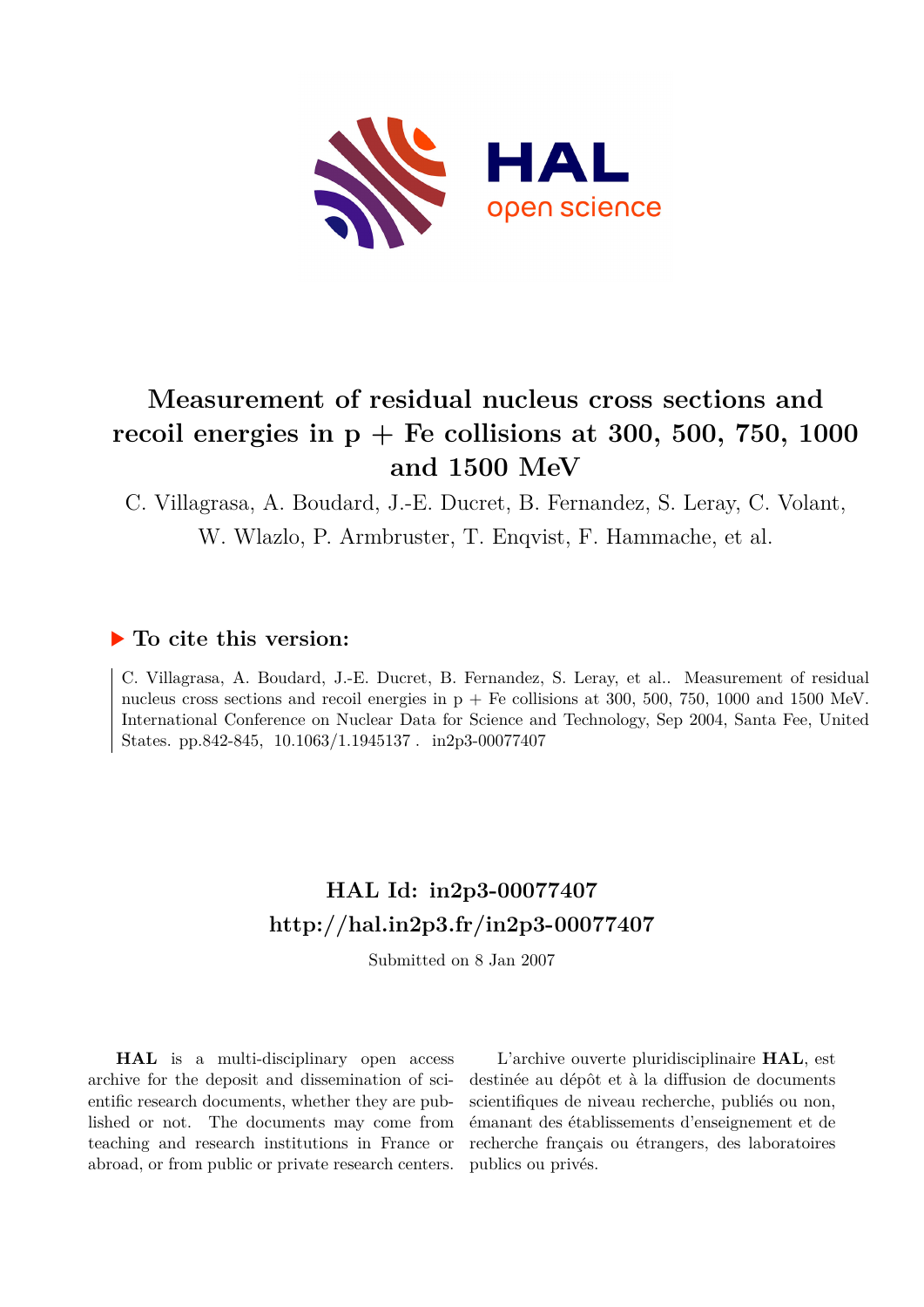

# **Measurement of residual nucleus cross sections and** recoil energies in  $p + Fe$  collisions at 300, 500, 750, 1000 **and 1500 MeV**

C. Villagrasa, A. Boudard, J.-E. Ducret, B. Fernandez, S. Leray, C. Volant,

W. Wlazlo, P. Armbruster, T. Enqvist, F. Hammache, et al.

# **To cite this version:**

C. Villagrasa, A. Boudard, J.-E. Ducret, B. Fernandez, S. Leray, et al.. Measurement of residual nucleus cross sections and recoil energies in  $p + Fe$  collisions at 300, 500, 750, 1000 and 1500 MeV. International Conference on Nuclear Data for Science and Technology, Sep 2004, Santa Fee, United States. pp.842-845,  $10.1063/1.1945137$ . in2p3-00077407

# **HAL Id: in2p3-00077407 <http://hal.in2p3.fr/in2p3-00077407>**

Submitted on 8 Jan 2007

**HAL** is a multi-disciplinary open access archive for the deposit and dissemination of scientific research documents, whether they are published or not. The documents may come from teaching and research institutions in France or abroad, or from public or private research centers.

L'archive ouverte pluridisciplinaire **HAL**, est destinée au dépôt et à la diffusion de documents scientifiques de niveau recherche, publiés ou non, émanant des établissements d'enseignement et de recherche français ou étrangers, des laboratoires publics ou privés.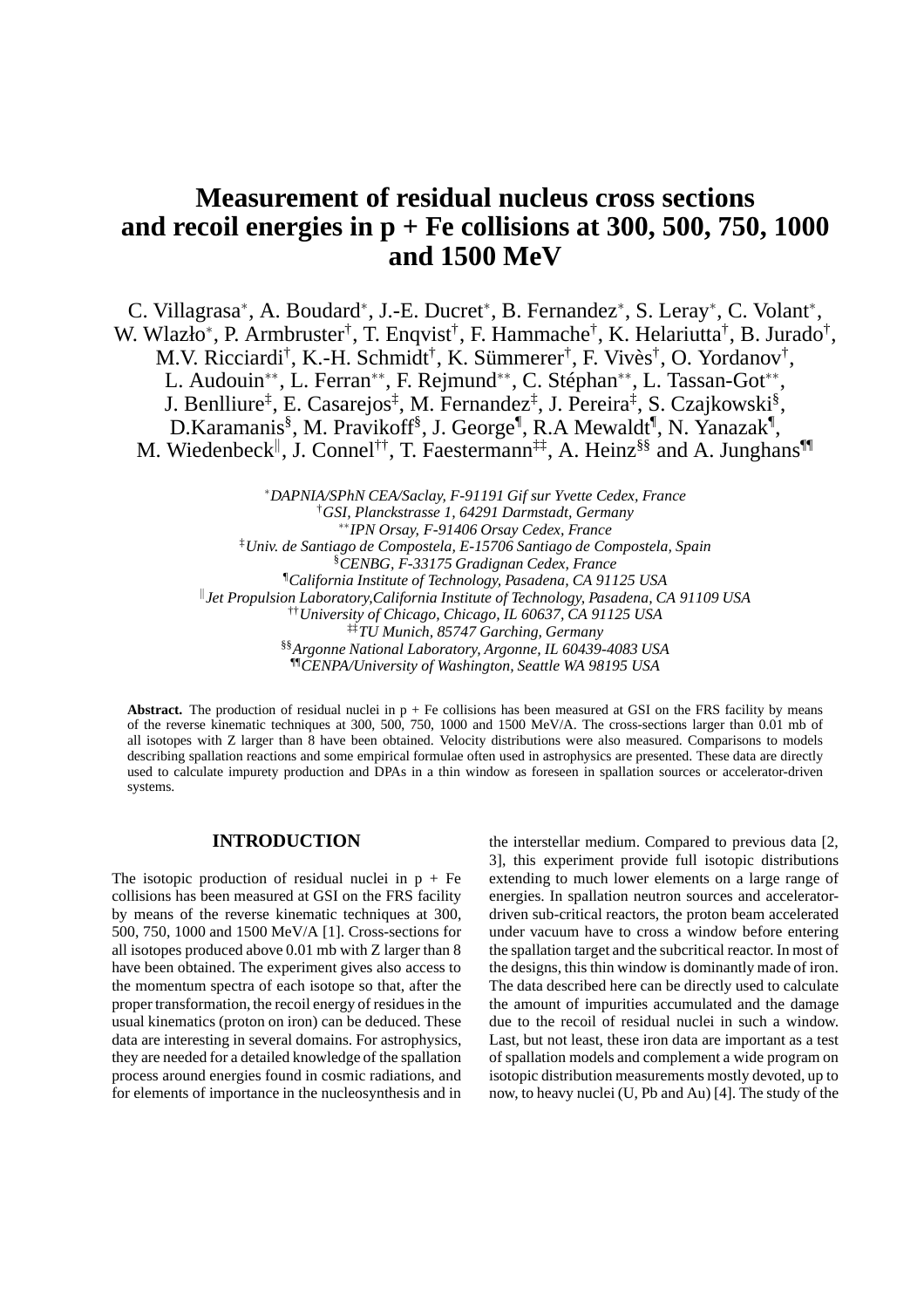# **Measurement of residual nucleus cross sections and recoil energies in p + Fe collisions at 300, 500, 750, 1000 and 1500 MeV**

C. Villagrasa\*, A. Boudard\*, J.-E. Ducret\*, B. Fernandez\*, S. Leray\*, C. Volant\*, W. Wlazło<sup>\*</sup>, P. Armbruster<sup>†</sup>, T. Enqvist<sup>†</sup>, F. Hammache<sup>†</sup>, K. Helariutta<sup>†</sup>, B. Jurado<sup>†</sup>, M.V. Ricciardi<sup>†</sup>, K.-H. Schmidt<sup>†</sup>, K. Sümmerer<sup>†</sup>, F. Vivès<sup>†</sup>, O. Yordanov<sup>†</sup>, L. Audouin<sup>\*\*</sup>, L. Ferran<sup>\*\*</sup>, F. Rejmund<sup>\*\*</sup>, C. Stéphan<sup>\*\*</sup>, L. Tassan-Got<sup>\*\*</sup>, J. Benlliure<sup>‡</sup>, E. Casarejos<sup>‡</sup>, M. Fernandez<sup>‡</sup>, J. Pereira<sup>‡</sup>, S. Czajkowski<sup>§</sup>, D.Karamanis<sup>§</sup>, M. Pravikoff<sup>§</sup>, J. George<sup>¶</sup>, R.A Mewaldt<sup>¶</sup>, N. Yanazak<sup>¶</sup>, M. Wiedenbeck<sup>||</sup>, J. Connel<sup>††</sup>, T. Faestermann<sup>‡‡</sup>, A. Heinz<sup>§§</sup> and A. Junghans<sup>¶</sup>

<sup>∗</sup>*DAPNIA/SPhN CEA/Saclay, F-91191 Gif sur Yvette Cedex, France* †*GSI, Planckstrasse 1, 64291 Darmstadt, Germany* ∗∗*IPN Orsay, F-91406 Orsay Cedex, France* ‡*Univ. de Santiago de Compostela, E-15706 Santiago de Compostela, Spain* §*CENBG, F-33175 Gradignan Cedex, France* ¶*California Institute of Technology, Pasadena, CA 91125 USA* k *Jet Propulsion Laboratory,California Institute of Technology, Pasadena, CA 91109 USA* ††*University of Chicago, Chicago, IL 60637, CA 91125 USA* ‡‡*TU Munich, 85747 Garching, Germany* §§*Argonne National Laboratory, Argonne, IL 60439-4083 USA* ¶¶*CENPA/University of Washington, Seattle WA 98195 USA*

**Abstract.** The production of residual nuclei in  $p + Fe$  collisions has been measured at GSI on the FRS facility by means of the reverse kinematic techniques at 300, 500, 750, 1000 and 1500 MeV/A. The cross-sections larger than 0.01 mb of all isotopes with Z larger than 8 have been obtained. Velocity distributions were also measured. Comparisons to models describing spallation reactions and some empirical formulae often used in astrophysics are presented. These data are directly used to calculate impurety production and DPAs in a thin window as foreseen in spallation sources or accelerator-driven systems.

# **INTRODUCTION**

The isotopic production of residual nuclei in  $p + Fe$ collisions has been measured at GSI on the FRS facility by means of the reverse kinematic techniques at 300, 500, 750, 1000 and 1500 MeV/A [1]. Cross-sections for all isotopes produced above 0.01 mb with Z larger than 8 have been obtained. The experiment gives also access to the momentum spectra of each isotope so that, after the proper transformation, the recoil energy of residues in the usual kinematics (proton on iron) can be deduced. These data are interesting in several domains. For astrophysics, they are needed for a detailed knowledge of the spallation process around energies found in cosmic radiations, and for elements of importance in the nucleosynthesis and in the interstellar medium. Compared to previous data [2, 3], this experiment provide full isotopic distributions extending to much lower elements on a large range of energies. In spallation neutron sources and acceleratordriven sub-critical reactors, the proton beam accelerated under vacuum have to cross a window before entering the spallation target and the subcritical reactor. In most of the designs, this thin window is dominantly made of iron. The data described here can be directly used to calculate the amount of impurities accumulated and the damage due to the recoil of residual nuclei in such a window. Last, but not least, these iron data are important as a test of spallation models and complement a wide program on isotopic distribution measurements mostly devoted, up to now, to heavy nuclei (U, Pb and Au) [4]. The study of the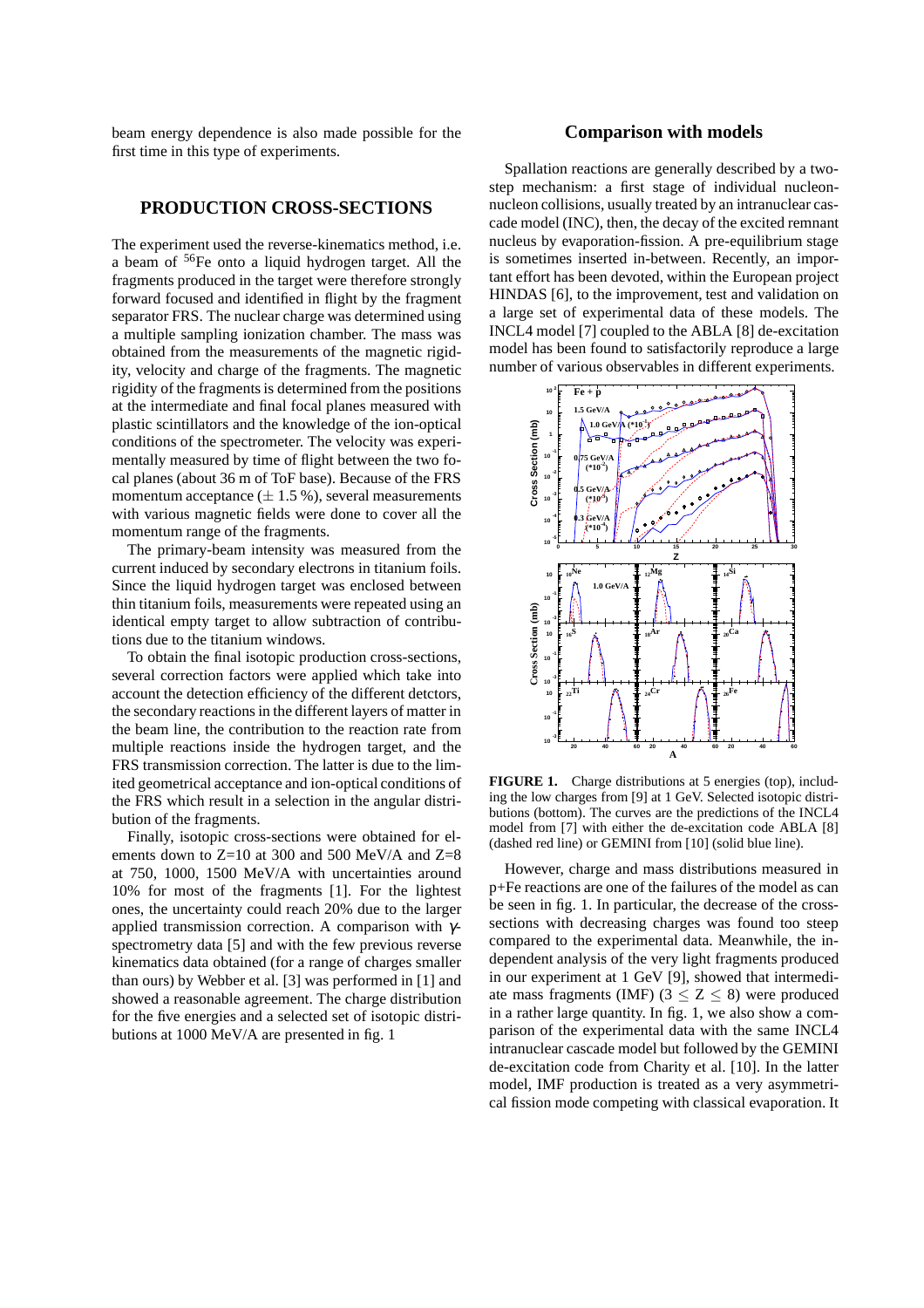beam energy dependence is also made possible for the first time in this type of experiments.

## **PRODUCTION CROSS-SECTIONS**

The experiment used the reverse-kinematics method, i.e. a beam of <sup>56</sup>Fe onto a liquid hydrogen target. All the fragments produced in the target were therefore strongly forward focused and identified in flight by the fragment separator FRS. The nuclear charge was determined using a multiple sampling ionization chamber. The mass was obtained from the measurements of the magnetic rigidity, velocity and charge of the fragments. The magnetic rigidity of the fragments is determined from the positions at the intermediate and final focal planes measured with plastic scintillators and the knowledge of the ion-optical conditions of the spectrometer. The velocity was experimentally measured by time of flight between the two focal planes (about 36 m of ToF base). Because of the FRS momentum acceptance  $(\pm 1.5\%)$ , several measurements with various magnetic fields were done to cover all the momentum range of the fragments.

The primary-beam intensity was measured from the current induced by secondary electrons in titanium foils. Since the liquid hydrogen target was enclosed between thin titanium foils, measurements were repeated using an identical empty target to allow subtraction of contributions due to the titanium windows.

To obtain the final isotopic production cross-sections, several correction factors were applied which take into account the detection efficiency of the different detctors, the secondary reactions in the different layers of matter in the beam line, the contribution to the reaction rate from multiple reactions inside the hydrogen target, and the FRS transmission correction. The latter is due to the limited geometrical acceptance and ion-optical conditions of the FRS which result in a selection in the angular distribution of the fragments.

Finally, isotopic cross-sections were obtained for elements down to  $Z=10$  at 300 and 500 MeV/A and  $Z=8$ at 750, 1000, 1500 MeV/A with uncertainties around 10% for most of the fragments [1]. For the lightest ones, the uncertainty could reach 20% due to the larger applied transmission correction. A comparison with  $\gamma$ spectrometry data [5] and with the few previous reverse kinematics data obtained (for a range of charges smaller than ours) by Webber et al. [3] was performed in [1] and showed a reasonable agreement. The charge distribution for the five energies and a selected set of isotopic distributions at 1000 MeV/A are presented in fig. 1

## **Comparison with models**

Spallation reactions are generally described by a twostep mechanism: a first stage of individual nucleonnucleon collisions, usually treated by an intranuclear cascade model (INC), then, the decay of the excited remnant nucleus by evaporation-fission. A pre-equilibrium stage is sometimes inserted in-between. Recently, an important effort has been devoted, within the European project HINDAS [6], to the improvement, test and validation on a large set of experimental data of these models. The INCL4 model [7] coupled to the ABLA [8] de-excitation model has been found to satisfactorily reproduce a large number of various observables in different experiments.



FIGURE 1. Charge distributions at 5 energies (top), including the low charges from [9] at 1 GeV. Selected isotopic distributions (bottom). The curves are the predictions of the INCL4 model from [7] with either the de-excitation code ABLA [8] (dashed red line) or GEMINI from [10] (solid blue line).

However, charge and mass distributions measured in p+Fe reactions are one of the failures of the model as can be seen in fig. 1. In particular, the decrease of the crosssections with decreasing charges was found too steep compared to the experimental data. Meanwhile, the independent analysis of the very light fragments produced in our experiment at 1 GeV [9], showed that intermediate mass fragments (IMF)  $(3 \le Z \le 8)$  were produced in a rather large quantity. In fig. 1, we also show a comparison of the experimental data with the same INCL4 intranuclear cascade model but followed by the GEMINI de-excitation code from Charity et al. [10]. In the latter model, IMF production is treated as a very asymmetrical fission mode competing with classical evaporation. It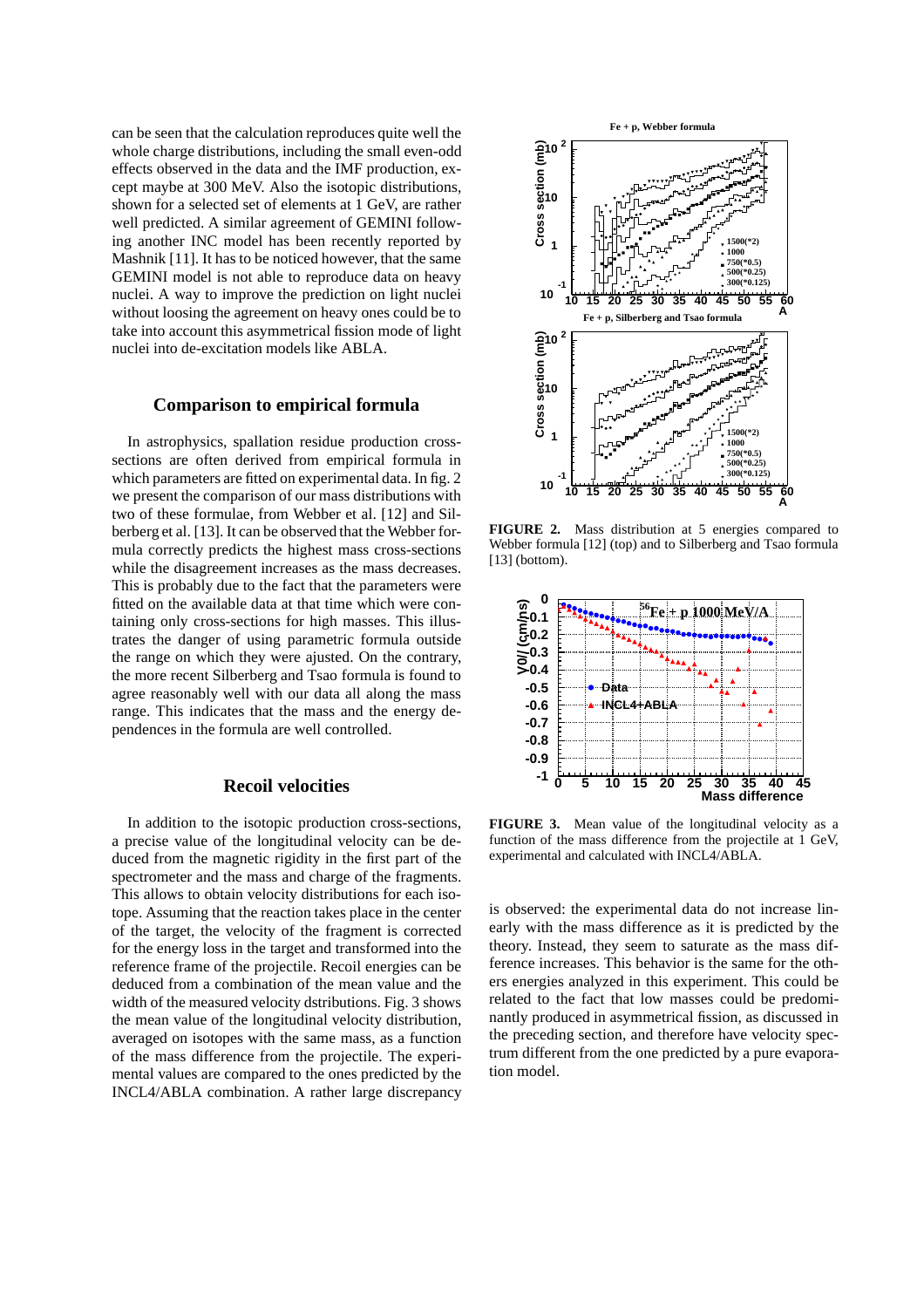can be seen that the calculation reproduces quite well the whole charge distributions, including the small even-odd effects observed in the data and the IMF production, except maybe at 300 MeV. Also the isotopic distributions, shown for a selected set of elements at 1 GeV, are rather well predicted. A similar agreement of GEMINI following another INC model has been recently reported by Mashnik [11]. It has to be noticed however, that the same GEMINI model is not able to reproduce data on heavy nuclei. A way to improve the prediction on light nuclei without loosing the agreement on heavy ones could be to take into account this asymmetrical fission mode of light nuclei into de-excitation models like ABLA.

#### **Comparison to empirical formula**

In astrophysics, spallation residue production crosssections are often derived from empirical formula in which parameters are fitted on experimental data. In fig. 2 we present the comparison of our mass distributions with two of these formulae, from Webber et al. [12] and Silberberg et al. [13]. It can be observed that the Webber formula correctly predicts the highest mass cross-sections while the disagreement increases as the mass decreases. This is probably due to the fact that the parameters were fitted on the available data at that time which were containing only cross-sections for high masses. This illustrates the danger of using parametric formula outside the range on which they were ajusted. On the contrary, the more recent Silberberg and Tsao formula is found to agree reasonably well with our data all along the mass range. This indicates that the mass and the energy dependences in the formula are well controlled.

# **Recoil velocities**

In addition to the isotopic production cross-sections, a precise value of the longitudinal velocity can be deduced from the magnetic rigidity in the first part of the spectrometer and the mass and charge of the fragments. This allows to obtain velocity distributions for each isotope. Assuming that the reaction takes place in the center of the target, the velocity of the fragment is corrected for the energy loss in the target and transformed into the reference frame of the projectile. Recoil energies can be deduced from a combination of the mean value and the width of the measured velocity dstributions. Fig. 3 shows the mean value of the longitudinal velocity distribution, averaged on isotopes with the same mass, as a function of the mass difference from the projectile. The experimental values are compared to the ones predicted by the INCL4/ABLA combination. A rather large discrepancy



**FIGURE 2.** Mass distribution at 5 energies compared to Webber formula [12] (top) and to Silberberg and Tsao formula [13] (bottom).



**FIGURE 3.** Mean value of the longitudinal velocity as a function of the mass difference from the projectile at 1 GeV, experimental and calculated with INCL4/ABLA.

is observed: the experimental data do not increase linearly with the mass difference as it is predicted by the theory. Instead, they seem to saturate as the mass difference increases. This behavior is the same for the others energies analyzed in this experiment. This could be related to the fact that low masses could be predominantly produced in asymmetrical fission, as discussed in the preceding section, and therefore have velocity spectrum different from the one predicted by a pure evaporation model.